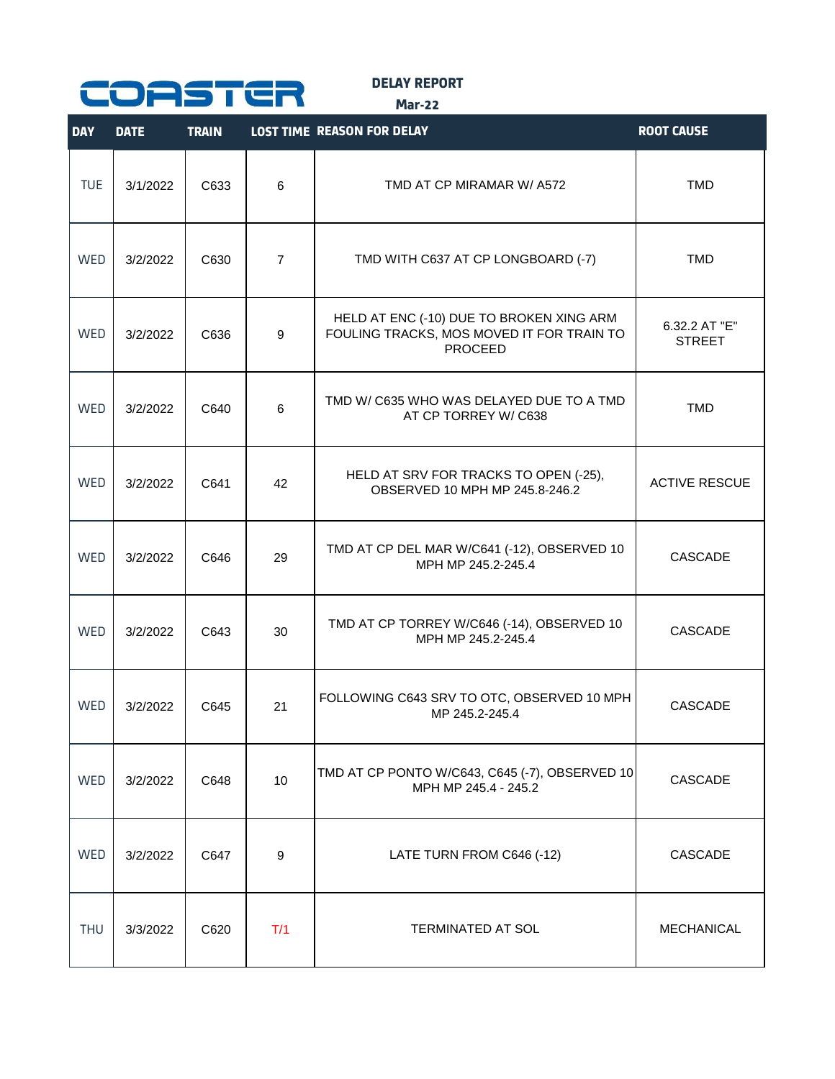

**DELAY REPORT**

**Mar-22**

| <b>DAY</b> | <b>DATE</b> | <b>TRAIN</b> |                | <b>LOST TIME REASON FOR DELAY</b>                                                                       | <b>ROOT CAUSE</b>              |
|------------|-------------|--------------|----------------|---------------------------------------------------------------------------------------------------------|--------------------------------|
| <b>TUE</b> | 3/1/2022    | C633         | 6              | TMD AT CP MIRAMAR W/ A572                                                                               | <b>TMD</b>                     |
| WED        | 3/2/2022    | C630         | $\overline{7}$ | TMD WITH C637 AT CP LONGBOARD (-7)                                                                      | <b>TMD</b>                     |
| <b>WED</b> | 3/2/2022    | C636         | 9              | HELD AT ENC (-10) DUE TO BROKEN XING ARM<br>FOULING TRACKS, MOS MOVED IT FOR TRAIN TO<br><b>PROCEED</b> | 6.32.2 AT "E"<br><b>STREET</b> |
| <b>WED</b> | 3/2/2022    | C640         | 6              | TMD W/ C635 WHO WAS DELAYED DUE TO A TMD<br>AT CP TORREY W/ C638                                        | <b>TMD</b>                     |
| <b>WED</b> | 3/2/2022    | C641         | 42             | HELD AT SRV FOR TRACKS TO OPEN (-25),<br>OBSERVED 10 MPH MP 245.8-246.2                                 | <b>ACTIVE RESCUE</b>           |
| <b>WED</b> | 3/2/2022    | C646         | 29             | TMD AT CP DEL MAR W/C641 (-12), OBSERVED 10<br>MPH MP 245.2-245.4                                       | CASCADE                        |
| <b>WED</b> | 3/2/2022    | C643         | 30             | TMD AT CP TORREY W/C646 (-14), OBSERVED 10<br>MPH MP 245.2-245.4                                        | CASCADE                        |
| <b>WED</b> | 3/2/2022    | C645         | 21             | FOLLOWING C643 SRV TO OTC, OBSERVED 10 MPH<br>MP 245.2-245.4                                            | CASCADE                        |
| WED        | 3/2/2022    | C648         | 10             | TMD AT CP PONTO W/C643, C645 (-7), OBSERVED 10<br>MPH MP 245.4 - 245.2                                  | <b>CASCADE</b>                 |
| <b>WED</b> | 3/2/2022    | C647         | 9              | LATE TURN FROM C646 (-12)                                                                               | CASCADE                        |
| <b>THU</b> | 3/3/2022    | C620         | T/1            | TERMINATED AT SOL                                                                                       | <b>MECHANICAL</b>              |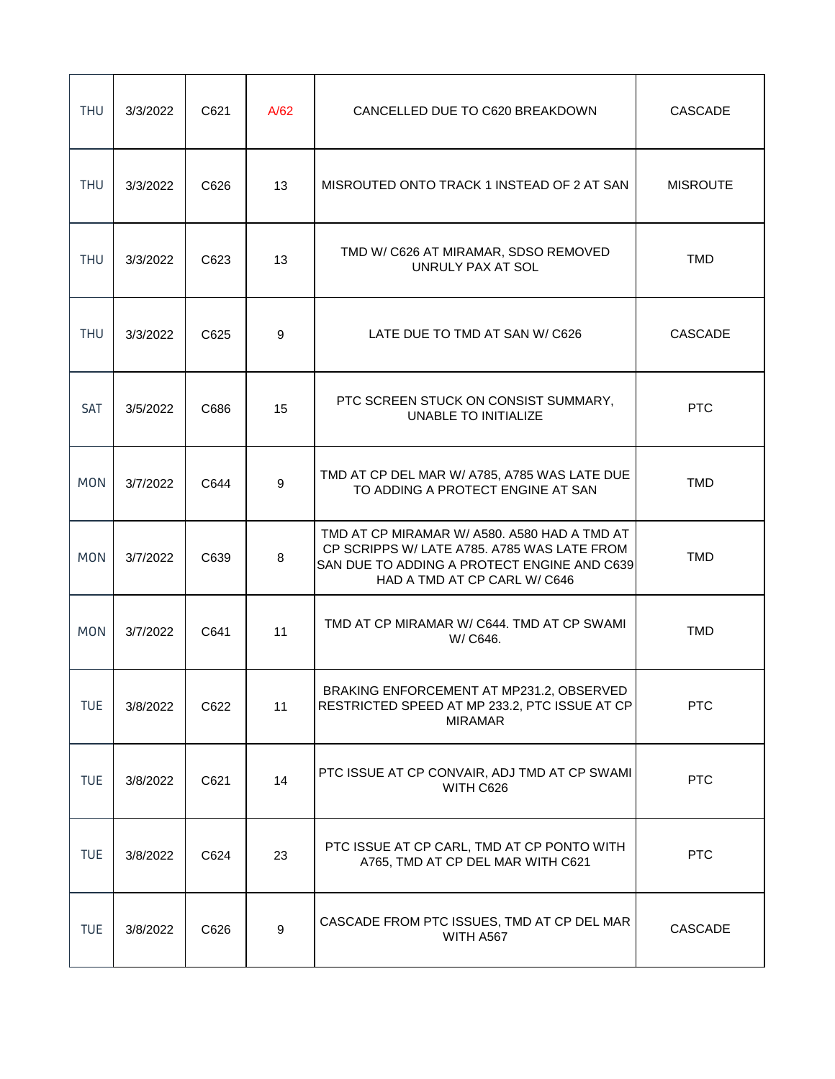| <b>THU</b> | 3/3/2022 | C621 | A/62 | CANCELLED DUE TO C620 BREAKDOWN                                                                                                                                            | <b>CASCADE</b>  |
|------------|----------|------|------|----------------------------------------------------------------------------------------------------------------------------------------------------------------------------|-----------------|
| <b>THU</b> | 3/3/2022 | C626 | 13   | MISROUTED ONTO TRACK 1 INSTEAD OF 2 AT SAN                                                                                                                                 | <b>MISROUTE</b> |
| <b>THU</b> | 3/3/2022 | C623 | 13   | TMD W/ C626 AT MIRAMAR, SDSO REMOVED<br>UNRULY PAX AT SOL                                                                                                                  | <b>TMD</b>      |
| <b>THU</b> | 3/3/2022 | C625 | 9    | LATE DUE TO TMD AT SAN W/ C626                                                                                                                                             | <b>CASCADE</b>  |
| SAT        | 3/5/2022 | C686 | 15   | PTC SCREEN STUCK ON CONSIST SUMMARY,<br>UNABLE TO INITIALIZE                                                                                                               | <b>PTC</b>      |
| <b>MON</b> | 3/7/2022 | C644 | 9    | TMD AT CP DEL MAR W/ A785, A785 WAS LATE DUE<br>TO ADDING A PROTECT ENGINE AT SAN                                                                                          | <b>TMD</b>      |
| <b>MON</b> | 3/7/2022 | C639 | 8    | TMD AT CP MIRAMAR W/ A580. A580 HAD A TMD AT<br>CP SCRIPPS W/ LATE A785. A785 WAS LATE FROM<br>SAN DUE TO ADDING A PROTECT ENGINE AND C639<br>HAD A TMD AT CP CARL W/ C646 | <b>TMD</b>      |
| <b>MON</b> | 3/7/2022 | C641 | 11   | TMD AT CP MIRAMAR W/ C644. TMD AT CP SWAMI<br>W/ C646.                                                                                                                     | <b>TMD</b>      |
| <b>TUE</b> | 3/8/2022 | C622 | 11   | BRAKING ENFORCEMENT AT MP231.2, OBSERVED<br>RESTRICTED SPEED AT MP 233.2, PTC ISSUE AT CP<br><b>MIRAMAR</b>                                                                | <b>PTC</b>      |
| <b>TUE</b> | 3/8/2022 | C621 | 14   | PTC ISSUE AT CP CONVAIR, ADJ TMD AT CP SWAMI<br>WITH C626                                                                                                                  | <b>PTC</b>      |
| <b>TUE</b> | 3/8/2022 | C624 | 23   | PTC ISSUE AT CP CARL, TMD AT CP PONTO WITH<br>A765, TMD AT CP DEL MAR WITH C621                                                                                            | <b>PTC</b>      |
| <b>TUE</b> | 3/8/2022 | C626 | 9    | CASCADE FROM PTC ISSUES, TMD AT CP DEL MAR<br>WITH A567                                                                                                                    | CASCADE         |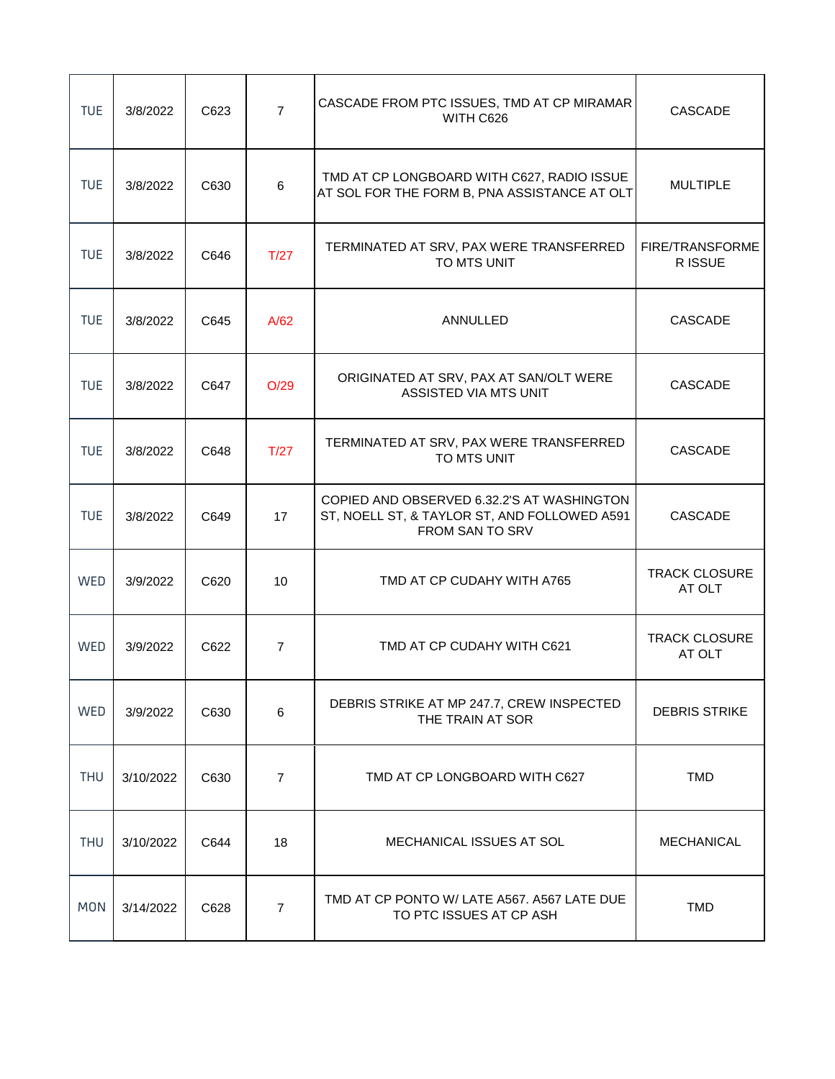| <b>TUE</b> | 3/8/2022  | C623 | $\overline{7}$ | CASCADE FROM PTC ISSUES, TMD AT CP MIRAMAR<br>WITH C626                                                       | <b>CASCADE</b>                    |
|------------|-----------|------|----------------|---------------------------------------------------------------------------------------------------------------|-----------------------------------|
| <b>TUE</b> | 3/8/2022  | C630 | 6              | TMD AT CP LONGBOARD WITH C627, RADIO ISSUE<br>AT SOL FOR THE FORM B, PNA ASSISTANCE AT OLT                    | <b>MULTIPLE</b>                   |
| <b>TUE</b> | 3/8/2022  | C646 | T/27           | TERMINATED AT SRV, PAX WERE TRANSFERRED<br>TO MTS UNIT                                                        | <b>FIRE/TRANSFORME</b><br>R ISSUE |
| <b>TUE</b> | 3/8/2022  | C645 | A/62           | ANNULLED                                                                                                      | <b>CASCADE</b>                    |
| <b>TUE</b> | 3/8/2022  | C647 | O/29           | ORIGINATED AT SRV, PAX AT SAN/OLT WERE<br>ASSISTED VIA MTS UNIT                                               | <b>CASCADE</b>                    |
| <b>TUE</b> | 3/8/2022  | C648 | T/27           | TERMINATED AT SRV, PAX WERE TRANSFERRED<br>TO MTS UNIT                                                        | <b>CASCADE</b>                    |
| <b>TUE</b> | 3/8/2022  | C649 | 17             | COPIED AND OBSERVED 6.32.2'S AT WASHINGTON<br>ST, NOELL ST, & TAYLOR ST, AND FOLLOWED A591<br>FROM SAN TO SRV | CASCADE                           |
| WED        | 3/9/2022  | C620 | 10             | TMD AT CP CUDAHY WITH A765                                                                                    | <b>TRACK CLOSURE</b><br>AT OLT    |
| WED        | 3/9/2022  | C622 | $\overline{7}$ | TMD AT CP CUDAHY WITH C621                                                                                    | <b>TRACK CLOSURE</b><br>AT OLT    |
| WED        | 3/9/2022  | C630 | 6              | DEBRIS STRIKE AT MP 247.7, CREW INSPECTED<br>THE TRAIN AT SOR                                                 | <b>DEBRIS STRIKE</b>              |
| <b>THU</b> | 3/10/2022 | C630 | $\overline{7}$ | TMD AT CP LONGBOARD WITH C627                                                                                 | <b>TMD</b>                        |
| <b>THU</b> | 3/10/2022 | C644 | 18             | MECHANICAL ISSUES AT SOL                                                                                      | <b>MECHANICAL</b>                 |
| <b>MON</b> | 3/14/2022 | C628 | $\overline{7}$ | TMD AT CP PONTO W/ LATE A567, A567 LATE DUE<br>TO PTC ISSUES AT CP ASH                                        | <b>TMD</b>                        |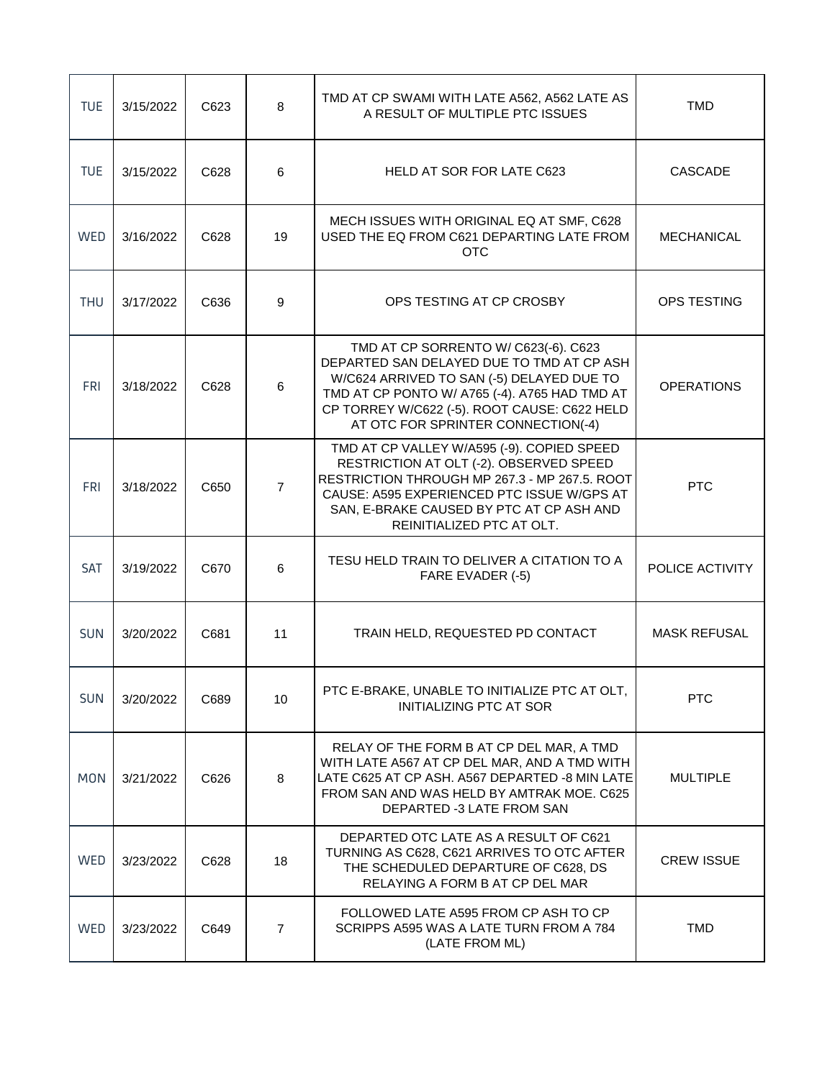| <b>TUE</b> | 3/15/2022 | C623 | 8              | TMD AT CP SWAMI WITH LATE A562, A562 LATE AS<br>A RESULT OF MULTIPLE PTC ISSUES                                                                                                                                                                                       | <b>TMD</b>          |
|------------|-----------|------|----------------|-----------------------------------------------------------------------------------------------------------------------------------------------------------------------------------------------------------------------------------------------------------------------|---------------------|
| <b>TUE</b> | 3/15/2022 | C628 | 6              | <b>HELD AT SOR FOR LATE C623</b>                                                                                                                                                                                                                                      | CASCADE             |
| WED        | 3/16/2022 | C628 | 19             | MECH ISSUES WITH ORIGINAL EQ AT SMF, C628<br>USED THE EQ FROM C621 DEPARTING LATE FROM<br><b>OTC</b>                                                                                                                                                                  | <b>MECHANICAL</b>   |
| <b>THU</b> | 3/17/2022 | C636 | 9              | OPS TESTING AT CP CROSBY                                                                                                                                                                                                                                              | OPS TESTING         |
| FRI        | 3/18/2022 | C628 | 6              | TMD AT CP SORRENTO W/ C623(-6). C623<br>DEPARTED SAN DELAYED DUE TO TMD AT CP ASH<br>W/C624 ARRIVED TO SAN (-5) DELAYED DUE TO<br>TMD AT CP PONTO W/ A765 (-4). A765 HAD TMD AT<br>CP TORREY W/C622 (-5). ROOT CAUSE: C622 HELD<br>AT OTC FOR SPRINTER CONNECTION(-4) | <b>OPERATIONS</b>   |
| <b>FRI</b> | 3/18/2022 | C650 | $\overline{7}$ | TMD AT CP VALLEY W/A595 (-9). COPIED SPEED<br>RESTRICTION AT OLT (-2). OBSERVED SPEED<br>RESTRICTION THROUGH MP 267.3 - MP 267.5. ROOT<br>CAUSE: A595 EXPERIENCED PTC ISSUE W/GPS AT<br>SAN, E-BRAKE CAUSED BY PTC AT CP ASH AND<br>REINITIALIZED PTC AT OLT.         | <b>PTC</b>          |
| <b>SAT</b> | 3/19/2022 | C670 | 6              | TESU HELD TRAIN TO DELIVER A CITATION TO A<br>FARE EVADER (-5)                                                                                                                                                                                                        | POLICE ACTIVITY     |
| <b>SUN</b> | 3/20/2022 | C681 | 11             | TRAIN HELD, REQUESTED PD CONTACT                                                                                                                                                                                                                                      | <b>MASK REFUSAL</b> |
| <b>SUN</b> | 3/20/2022 | C689 | 10             | PTC E-BRAKE, UNABLE TO INITIALIZE PTC AT OLT,<br><b>INITIALIZING PTC AT SOR</b>                                                                                                                                                                                       | <b>PTC</b>          |
| <b>MON</b> | 3/21/2022 | C626 | 8              | RELAY OF THE FORM B AT CP DEL MAR, A TMD<br>WITH LATE A567 AT CP DEL MAR, AND A TMD WITH<br>LATE C625 AT CP ASH. A567 DEPARTED -8 MIN LATE<br>FROM SAN AND WAS HELD BY AMTRAK MOE. C625<br>DEPARTED -3 LATE FROM SAN                                                  | <b>MULTIPLE</b>     |
| WED        | 3/23/2022 | C628 | 18             | DEPARTED OTC LATE AS A RESULT OF C621<br>TURNING AS C628, C621 ARRIVES TO OTC AFTER<br>THE SCHEDULED DEPARTURE OF C628, DS<br>RELAYING A FORM B AT CP DEL MAR                                                                                                         | <b>CREW ISSUE</b>   |
| WED        | 3/23/2022 | C649 | $\overline{7}$ | FOLLOWED LATE A595 FROM CP ASH TO CP<br>SCRIPPS A595 WAS A LATE TURN FROM A 784<br>(LATE FROM ML)                                                                                                                                                                     | <b>TMD</b>          |